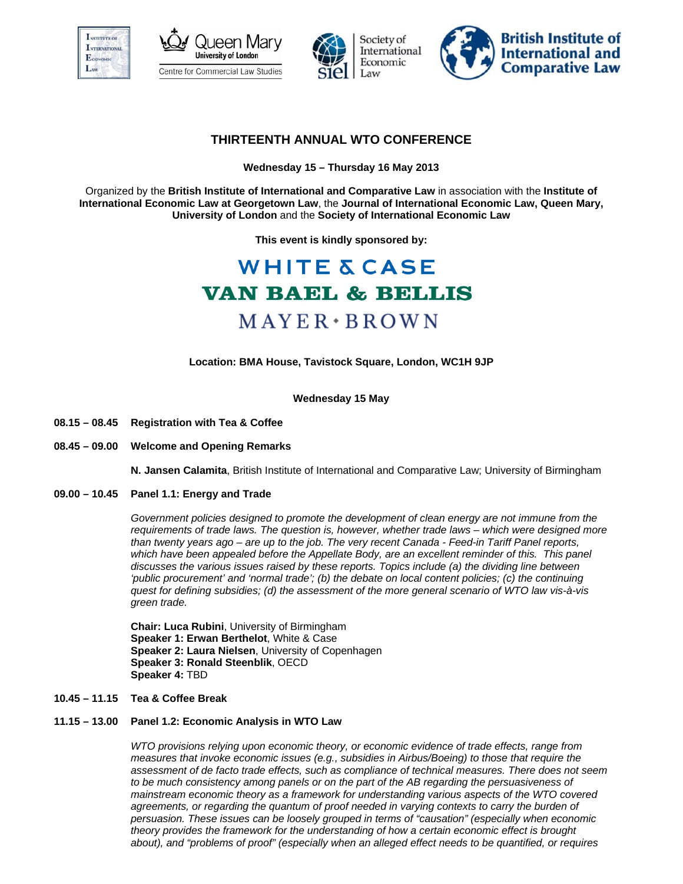







# **THIRTEENTH ANNUAL WTO CONFERENCE**

**Wednesday 15 – Thursday 16 May 2013** 

Organized by the **British Institute of International and Comparative Law** in association with the **Institute of International Economic Law at Georgetown Law**, the **Journal of International Economic Law, Queen Mary, University of London** and the **Society of International Economic Law** 

**This event is kindly sponsored by:** 

# **WHITE & CASE VAN BAEL & BELLIS**  $M$  A Y E R  $\cdot$  B R O W N

**Location: BMA House, Tavistock Square, London, WC1H 9JP** 

**Wednesday 15 May** 

- **08.15 08.45 Registration with Tea & Coffee**
- **08.45 09.00 Welcome and Opening Remarks**

**N. Jansen Calamita**, British Institute of International and Comparative Law; University of Birmingham

**09.00 – 10.45 Panel 1.1: Energy and Trade**

*Government policies designed to promote the development of clean energy are not immune from the requirements of trade laws. The question is, however, whether trade laws – which were designed more than twenty years ago – are up to the job. The very recent Canada - Feed-in Tariff Panel reports,*  which have been appealed before the Appellate Body, are an excellent reminder of this. This panel *discusses the various issues raised by these reports. Topics include (a) the dividing line between 'public procurement' and 'normal trade'; (b) the debate on local content policies; (c) the continuing quest for defining subsidies; (d) the assessment of the more general scenario of WTO law vis-à-vis green trade.* 

**Chair: Luca Rubini**, University of Birmingham **Speaker 1: Erwan Berthelot**, White & Case **Speaker 2: Laura Nielsen**, University of Copenhagen **Speaker 3: Ronald Steenblik**, OECD **Speaker 4:** TBD

# **10.45 – 11.15 Tea & Coffee Break**

# **11.15 – 13.00 Panel 1.2: Economic Analysis in WTO Law**

*WTO provisions relying upon economic theory, or economic evidence of trade effects, range from measures that invoke economic issues (e.g., subsidies in Airbus/Boeing) to those that require the assessment of de facto trade effects, such as compliance of technical measures. There does not seem to be much consistency among panels or on the part of the AB regarding the persuasiveness of mainstream economic theory as a framework for understanding various aspects of the WTO covered*  agreements, or regarding the quantum of proof needed in varying contexts to carry the burden of *persuasion. These issues can be loosely grouped in terms of "causation" (especially when economic theory provides the framework for the understanding of how a certain economic effect is brought about), and "problems of proof" (especially when an alleged effect needs to be quantified, or requires*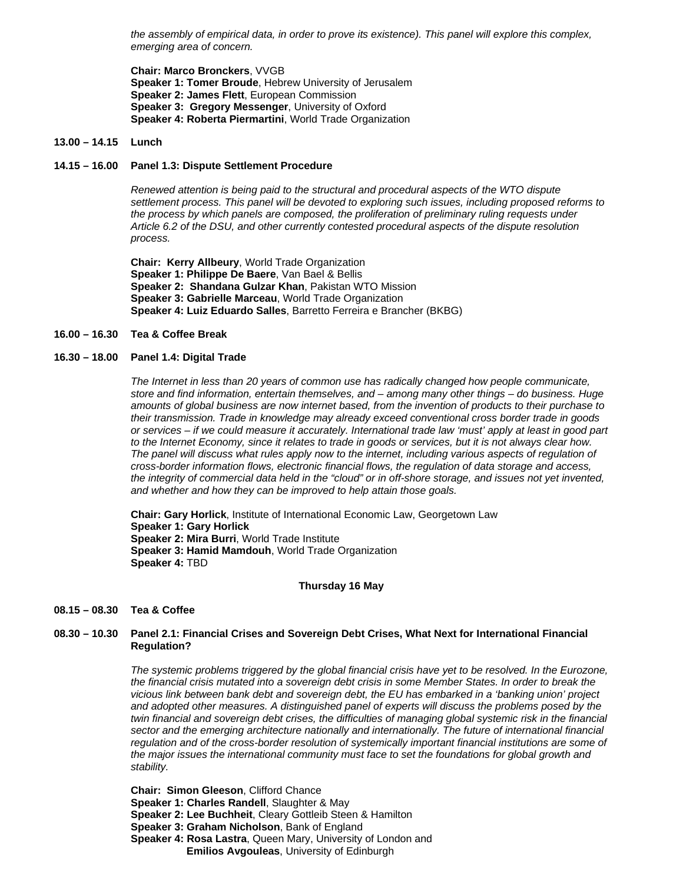*the assembly of empirical data, in order to prove its existence). This panel will explore this complex, emerging area of concern.* 

**Chair: Marco Bronckers**, VVGB **Speaker 1: Tomer Broude**, Hebrew University of Jerusalem **Speaker 2: James Flett**, European Commission **Speaker 3: Gregory Messenger**, University of Oxford **Speaker 4: Roberta Piermartini**, World Trade Organization

#### **13.00 – 14.15 Lunch**

# **14.15 – 16.00 Panel 1.3: Dispute Settlement Procedure**

*Renewed attention is being paid to the structural and procedural aspects of the WTO dispute settlement process. This panel will be devoted to exploring such issues, including proposed reforms to the process by which panels are composed, the proliferation of preliminary ruling requests under Article 6.2 of the DSU, and other currently contested procedural aspects of the dispute resolution process.* 

**Chair: Kerry Allbeury**, World Trade Organization **Speaker 1: Philippe De Baere**, Van Bael & Bellis **Speaker 2: Shandana Gulzar Khan**, Pakistan WTO Mission **Speaker 3: Gabrielle Marceau**, World Trade Organization **Speaker 4: Luiz Eduardo Salles**, Barretto Ferreira e Brancher (BKBG)

#### **16.00 – 16.30 Tea & Coffee Break**

#### **16.30 – 18.00 Panel 1.4: Digital Trade**

*The Internet in less than 20 years of common use has radically changed how people communicate, store and find information, entertain themselves, and – among many other things – do business. Huge amounts of global business are now internet based, from the invention of products to their purchase to their transmission. Trade in knowledge may already exceed conventional cross border trade in goods or services – if we could measure it accurately. International trade law 'must' apply at least in good part to the Internet Economy, since it relates to trade in goods or services, but it is not always clear how. The panel will discuss what rules apply now to the internet, including various aspects of regulation of cross-border information flows, electronic financial flows, the regulation of data storage and access, the integrity of commercial data held in the "cloud" or in off-shore storage, and issues not yet invented, and whether and how they can be improved to help attain those goals.* 

**Chair: Gary Horlick**, Institute of International Economic Law, Georgetown Law **Speaker 1: Gary Horlick Speaker 2: Mira Burri**, World Trade Institute **Speaker 3: Hamid Mamdouh**, World Trade Organization **Speaker 4:** TBD

#### **Thursday 16 May**

#### **08.15 – 08.30 Tea & Coffee**

# **08.30 – 10.30 Panel 2.1: Financial Crises and Sovereign Debt Crises, What Next for International Financial Regulation?**

*The systemic problems triggered by the global financial crisis have yet to be resolved. In the Eurozone, the financial crisis mutated into a sovereign debt crisis in some Member States. In order to break the vicious link between bank debt and sovereign debt, the EU has embarked in a 'banking union' project and adopted other measures. A distinguished panel of experts will discuss the problems posed by the twin financial and sovereign debt crises, the difficulties of managing global systemic risk in the financial* sector and the emerging architecture nationally and internationally. The future of international financial *regulation and of the cross-border resolution of systemically important financial institutions are some of the major issues the international community must face to set the foundations for global growth and stability.* 

**Chair: Simon Gleeson**, Clifford Chance

- **Speaker 1: Charles Randell**, Slaughter & May
- **Speaker 2: Lee Buchheit**, Cleary Gottleib Steen & Hamilton
- **Speaker 3: Graham Nicholson**, Bank of England
- **Speaker 4: Rosa Lastra**, Queen Mary, University of London and **Emilios Avgouleas**, University of Edinburgh